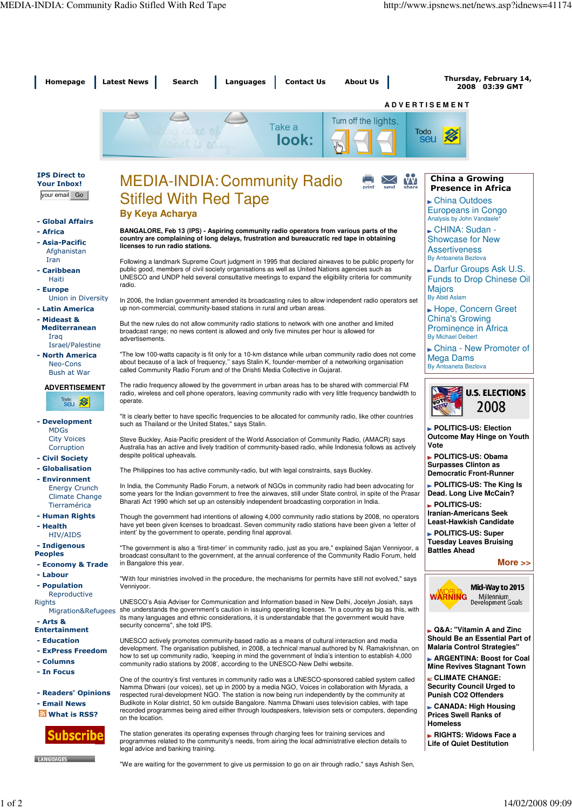